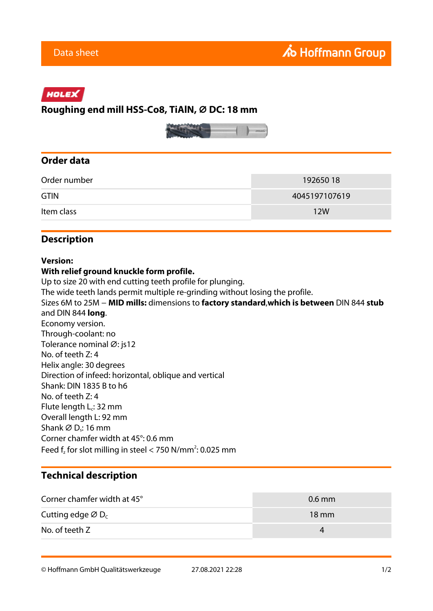# HOLEX

## **Roughing end mill HSS-Co8, TiAlN, ⌀ DC: 18 mm**



## **Order data**

| Order number | 192650 18     |
|--------------|---------------|
| <b>GTIN</b>  | 4045197107619 |
| Item class   | <b>12W</b>    |

## **Description**

#### **Version:**

#### **With relief ground knuckle form profile.**

Up to size 20 with end cutting teeth profile for plunging.

The wide teeth lands permit multiple re-grinding without losing the profile.

Sizes 6M to 25M − **MID mills:** dimensions to **factory standard**,**which is between** DIN 844 **stub** and DIN 844 **long**. Economy version. Through-coolant: no Tolerance nominal Ø: js12 No. of teeth Z: 4 Helix angle: 30 degrees Direction of infeed: horizontal, oblique and vertical Shank: DIN 1835 B to h6 No. of teeth Z: 4 Flute length  $L_c$ : 32 mm Overall length L: 92 mm Shank  $\varnothing$  D<sub>s</sub>: 16 mm Corner chamfer width at 45°: 0.6 mm Feed  $f_z$  for slot milling in steel < 750 N/mm<sup>2</sup>: 0.025 mm

# **Technical description**

| Corner chamfer width at 45°               | $0.6$ mm        |
|-------------------------------------------|-----------------|
| Cutting edge $\varnothing$ D <sub>c</sub> | $18 \text{ mm}$ |
| No. of teeth Z                            | 4               |